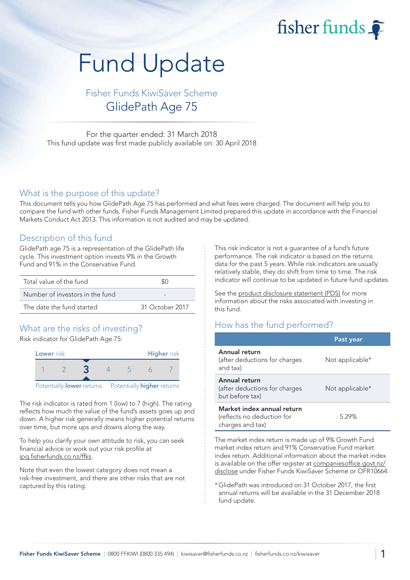fisher funds

# Fund Update

Fisher Funds KiwiSaver Scheme GlidePath Age 75

For the quarter ended: 31 March 2018 This fund update was first made publicly available on: 30 April 2018

#### What is the purpose of this update?

This document tells you how GlidePath Age 75 has performed and what fees were charged. The document will help you to compare the fund with other funds. Fisher Funds Management Limited prepared this update in accordance with the Financial Markets Conduct Act 2013. This information is not audited and may be updated.

### Description of this fund

GlidePath age 75 is a representation of the GlidePath life cycle. This investment option invests 9% in the Growth Fund and 91% in the Conservative Fund.

| Total value of the fund         |                 |
|---------------------------------|-----------------|
| Number of investors in the fund |                 |
| The date the fund started       | 31 October 2017 |

## What are the risks of investing?

Risk indicator for GlidePath Age 75:



The risk indicator is rated from 1 (low) to 7 (high). The rating reflects how much the value of the fund's assets goes up and down. A higher risk generally means higher potential returns over time, but more ups and downs along the way.

To help you clarify your own attitude to risk, you can seek financial advice or work out your risk profile at [ipq.fisherfunds.co.nz/ffks.](https://ipq.fisherfunds.co.nz/ffks)

Note that even the lowest category does not mean a risk-free investment, and there are other risks that are not captured by this rating.

This risk indicator is not a guarantee of a fund's future performance. The risk indicator is based on the returns data for the past 5 years. While risk indicators are usually relatively stable, they do shift from time to time. The risk indicator will continue to be updated in future fund updates.

See the [product disclosure statement \(PDS\)](https://fisherfunds.co.nz/assets/PDS/Fisher-Funds-KiwiSaver-Scheme-PDS.pdf) for more information about the risks associated with investing in this fund.

## How has the fund performed?

|                                                                              | Past year       |
|------------------------------------------------------------------------------|-----------------|
| Annual return<br>(after deductions for charges<br>and tax)                   | Not applicable* |
| Annual return<br>(after deductions for charges<br>but before tax)            | Not applicable* |
| Market index annual return<br>(reflects no deduction for<br>charges and tax) | 5.29%           |

The market index return is made up of 9% Growth Fund market index return and 91% Conservative Fund market index return. Additional information about the market index is available on the offer register at [companiesoffice.govt.nz/](http://companiesoffice.govt.nz/disclose) [disclose](http://companiesoffice.govt.nz/disclose) under Fisher Funds KiwiSaver Scheme or OFR10664.

\*GlidePath was introduced on 31 October 2017, the first annual returns will be available in the 31 December 2018 fund update.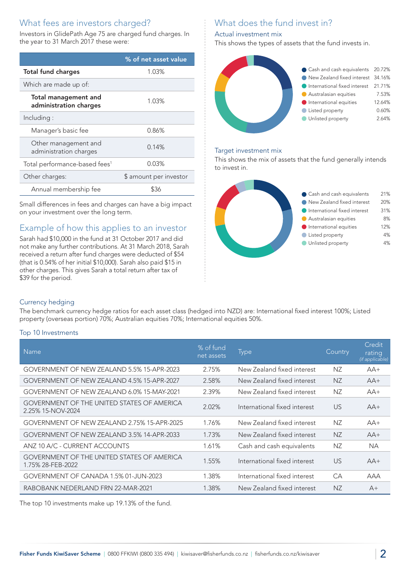## What fees are investors charged?

Investors in GlidePath Age 75 are charged fund charges. In the year to 31 March 2017 these were:

|                                                       | % of net asset value   |  |
|-------------------------------------------------------|------------------------|--|
| <b>Total fund charges</b>                             | 1.03%                  |  |
| Which are made up of:                                 |                        |  |
| <b>Total management and</b><br>administration charges | 1.03%                  |  |
| Including:                                            |                        |  |
| Manager's basic fee                                   | 0.86%                  |  |
| Other management and<br>administration charges        | 0.14%                  |  |
| Total performance-based fees <sup>1</sup>             | 0.03%                  |  |
| Other charges:                                        | \$ amount per investor |  |
| Annual membership fee                                 | \$36                   |  |

Small differences in fees and charges can have a big impact on your investment over the long term.

## Example of how this applies to an investor

Sarah had \$10,000 in the fund at 31 October 2017 and did not make any further contributions. At 31 March 2018, Sarah received a return after fund charges were deducted of \$54 (that is 0.54% of her initial \$10,000). Sarah also paid \$15 in other charges. This gives Sarah a total return after tax of \$39 for the period.

# What does the fund invest in?

#### Actual investment mix

This shows the types of assets that the fund invests in.



#### Target investment mix

This shows the mix of assets that the fund generally intends to invest in.



#### Currency hedging

The benchmark currency hedge ratios for each asset class (hedged into NZD) are: International fixed interest 100%; Listed property (overseas portion) 70%; Australian equities 70%; International equities 50%.

#### Top 10 Investments

| Name                                                                   | % of fund<br>net assets | <b>Type</b>                  | Country   | Credit<br>rating<br>(if applicable) |
|------------------------------------------------------------------------|-------------------------|------------------------------|-----------|-------------------------------------|
| GOVERNMENT OF NEW ZEALAND 5.5% 15-APR-2023                             | 2.75%                   | New Zealand fixed interest   | NZ        | $AA+$                               |
| GOVERNMENT OF NEW ZEALAND 4.5% 15-APR-2027                             | 2.58%                   | New Zealand fixed interest   | NZ        | $AA+$                               |
| GOVERNMENT OF NEW ZEALAND 6.0% 15-MAY-2021                             | 2.39%                   | New Zealand fixed interest   | NZ        | $AA+$                               |
| <b>GOVERNMENT OF THE UNITED STATES OF AMERICA</b><br>2.25% 15-NOV-2024 | 2.02%                   | International fixed interest | <b>US</b> | $AA+$                               |
| GOVERNMENT OF NEW ZEALAND 2.75% 15-APR-2025                            | 1.76%                   | New Zealand fixed interest   | ΝZ        | $AA+$                               |
| GOVERNMENT OF NEW ZEALAND 3.5% 14-APR-2033                             | 1.73%                   | New Zealand fixed interest   | NZ.       | $AA+$                               |
| ANZ 10 A/C - CURRENT ACCOUNTS                                          | 1.61%                   | Cash and cash equivalents    | ΝZ        | <b>NA</b>                           |
| GOVERNMENT OF THE UNITED STATES OF AMERICA<br>1.75% 28-FEB-2022        | 1.55%                   | International fixed interest | <b>US</b> | $AA+$                               |
| GOVERNMENT OF CANADA 1.5% 01-JUN-2023                                  | 1.38%                   | International fixed interest | CA        | AAA                                 |
| RABOBANK NEDERLAND FRN 22-MAR-2021                                     | 1.38%                   | New Zealand fixed interest   | NZ.       | $A+$                                |

The top 10 investments make up 19.13% of the fund.